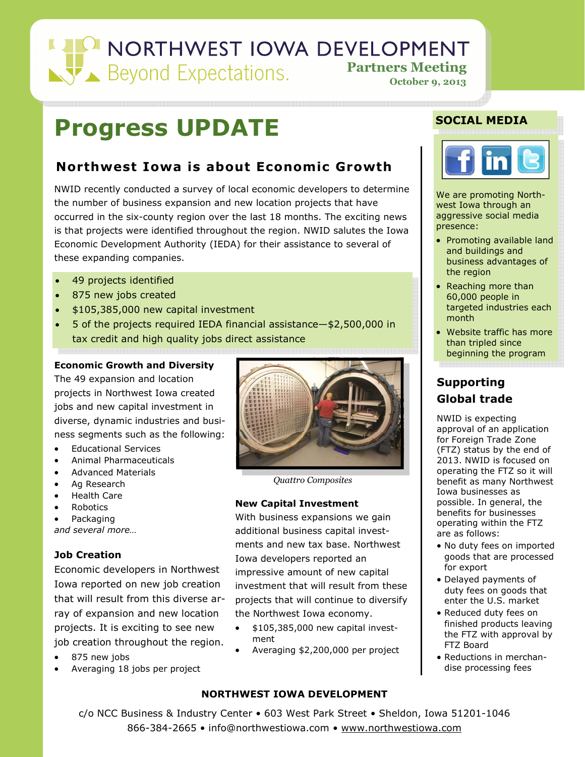## NORTHWEST IOWA DEVELOPMENT **Partners Meeting October 9, 2013**

## **Progress UPDATE**

## **Northwest Iowa is about Economic Growth**

NWID recently conducted a survey of local economic developers to determine the number of business expansion and new location projects that have occurred in the six-county region over the last 18 months. The exciting news is that projects were identified throughout the region. NWID salutes the Iowa Economic Development Authority (IEDA) for their assistance to several of these expanding companies.

- 49 projects identified
- 875 new jobs created
- \$105,385,000 new capital investment
- 5 of the projects required IEDA financial assistance—\$2,500,000 in tax credit and high quality jobs direct assistance

## **Economic Growth and Diversity**

The 49 expansion and location projects in Northwest Iowa created jobs and new capital investment in diverse, dynamic industries and business segments such as the following:

- Educational Services
- Animal Pharmaceuticals
- Advanced Materials
- Ag Research
- Health Care
- Robotics
- Packaging

*and several more…* 

## **Job Creation**

Economic developers in Northwest Iowa reported on new job creation that will result from this diverse array of expansion and new location projects. It is exciting to see new job creation throughout the region.

- 875 new jobs
- Averaging 18 jobs per project



*Quattro Composites* 

## **New Capital Investment**

With business expansions we gain additional business capital investments and new tax base. Northwest Iowa developers reported an impressive amount of new capital investment that will result from these projects that will continue to diversify the Northwest Iowa economy.

- \$105,385,000 new capital investment
- Averaging \$2,200,000 per project

## **NORTHWEST IOWA DEVELOPMENT**

## **SOCIAL MEDIA**



We are promoting Northwest Iowa through an aggressive social media presence:

- Promoting available land and buildings and business advantages of the region
- Reaching more than 60,000 people in targeted industries each month
- Website traffic has more than tripled since beginning the program

## **Supporting Global trade**

NWID is expecting approval of an application for Foreign Trade Zone (FTZ) status by the end of 2013. NWID is focused on operating the FTZ so it will benefit as many Northwest Iowa businesses as possible. In general, the benefits for businesses operating within the FTZ are as follows:

- No duty fees on imported goods that are processed for export
- Delayed payments of duty fees on goods that enter the U.S. market
- Reduced duty fees on finished products leaving the FTZ with approval by FTZ Board
- Reductions in merchandise processing fees

c/o NCC Business & Industry Center • 603 West Park Street • Sheldon, Iowa 51201-1046 866-384-2665 • info@northwestiowa.com • www.northwestiowa.com